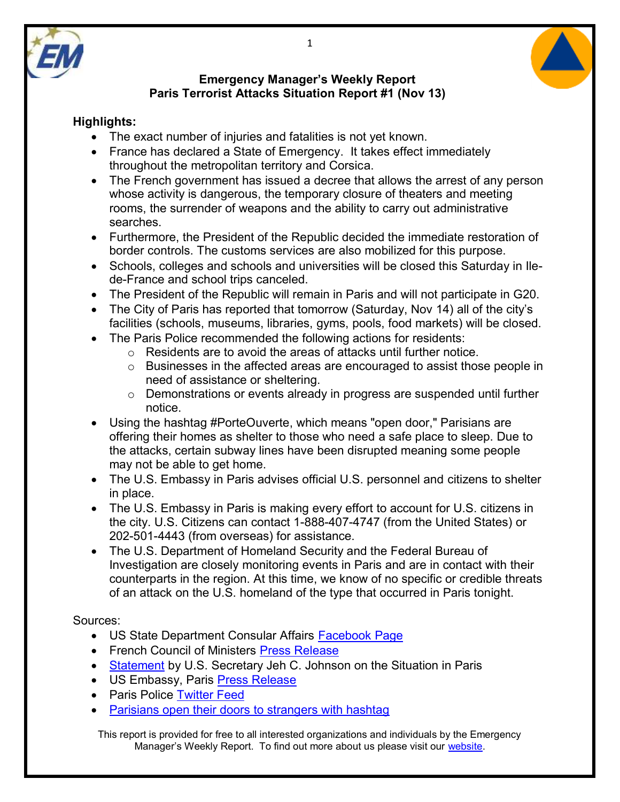



## **Highlights:**

- The exact number of injuries and fatalities is not yet known.
- France has declared a State of Emergency. It takes effect immediately throughout the metropolitan territory and Corsica.
- The French government has issued a decree that allows the arrest of any person whose activity is dangerous, the temporary closure of theaters and meeting rooms, the surrender of weapons and the ability to carry out administrative searches.
- Furthermore, the President of the Republic decided the immediate restoration of border controls. The customs services are also mobilized for this purpose.
- Schools, colleges and schools and universities will be closed this Saturday in Ilede-France and school trips canceled.
- The President of the Republic will remain in Paris and will not participate in G20.
- The City of Paris has reported that tomorrow (Saturday, Nov 14) all of the city's facilities (schools, museums, libraries, gyms, pools, food markets) will be closed.
- The Paris Police recommended the following actions for residents:
	- o Residents are to avoid the areas of attacks until further notice.
	- o Businesses in the affected areas are encouraged to assist those people in need of assistance or sheltering.
	- o Demonstrations or events already in progress are suspended until further notice.
- Using the hashtag #PorteOuverte, which means "open door," Parisians are offering their homes as shelter to those who need a safe place to sleep. Due to the attacks, certain subway lines have been disrupted meaning some people may not be able to get home.
- The U.S. Embassy in Paris advises official U.S. personnel and citizens to shelter in place.
- The U.S. Embassy in Paris is making every effort to account for U.S. citizens in the city. U.S. Citizens can contact 1-888-407-4747 (from the United States) or 202-501-4443 (from overseas) for assistance.
- The U.S. Department of Homeland Security and the Federal Bureau of Investigation are closely monitoring events in Paris and are in contact with their counterparts in the region. At this time, we know of no specific or credible threats of an attack on the U.S. homeland of the type that occurred in Paris tonight.

## Sources:

- US State Department Consular Affairs [Facebook Page](https://www.facebook.com/travelgov/?fref=ts)
- French Council of Ministers [Press Release](http://www.elysee.fr/communiques-de-presse/article/communique-a-l-issue-du-conseil-des-ministres)
- [Statement](http://www.dhs.gov/news/2015/11/13/statement-secretary-jeh-c-johnson-situation-paris) by U.S. Secretary Jeh C. Johnson on the Situation in Paris
- US Embassy, Paris [Press Release](http://france.usembassy.gov/sm111315.html)
- Paris Police [Twitter Feed](https://twitter.com/prefpolice)
- [Parisians open their doors to strangers with hashtag](http://mashable.com/2015/11/13/paris-hashtag-portouverte/?utm_cid=mash-com-fb-main-link#XNsHXeDIhPqU)

This report is provided for free to all interested organizations and individuals by the Emergency Manager's Weekly Report. To find out more about us please visit our [website.](https://sites.google.com/site/emergencymanagersweeklyreport/home)